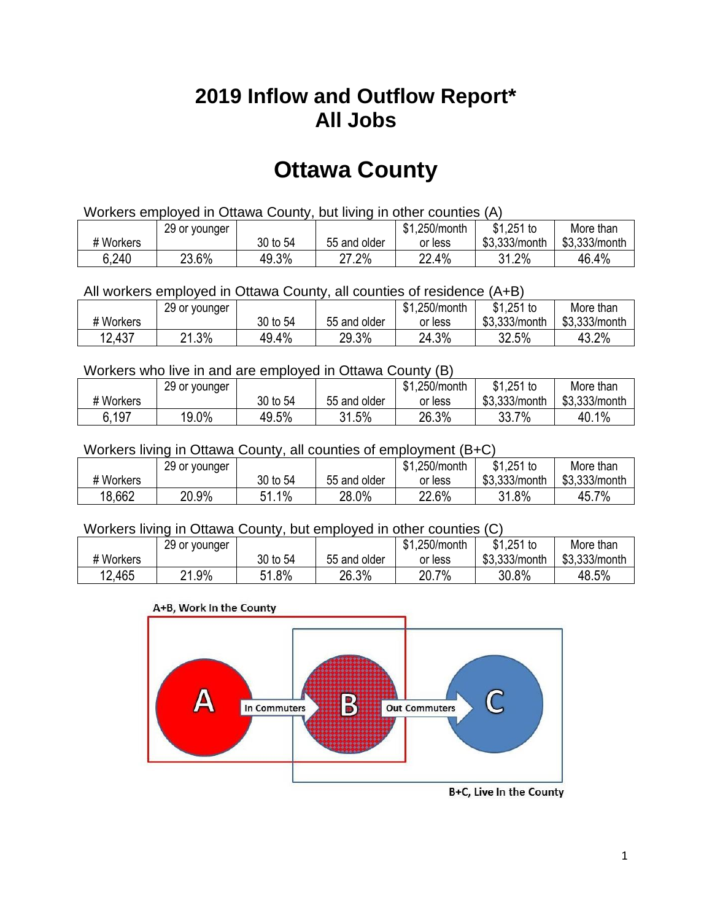## **2019 Inflow and Outflow Report\* All Jobs**

# **Ottawa County**

| Workers employed in Ottawa County, but living in other counties (A) |                                                           |          |              |         |               |               |  |  |  |
|---------------------------------------------------------------------|-----------------------------------------------------------|----------|--------------|---------|---------------|---------------|--|--|--|
|                                                                     | \$1.251 to<br>\$1.250/month<br>More than<br>29 or younger |          |              |         |               |               |  |  |  |
| # Workers                                                           |                                                           | 30 to 54 | 55 and older | or less | \$3.333/month | \$3.333/month |  |  |  |
| 6,240                                                               | 23.6%                                                     | 49.3%    | 27.2%        | 22.4%   | 31.2%         | 46.4%         |  |  |  |

All workers employed in Ottawa County, all counties of residence (A+B)

|           | 29 or younger |          |              | \$1,250/month | $$1,251$ to   | More than     |
|-----------|---------------|----------|--------------|---------------|---------------|---------------|
| # Workers |               | 30 to 54 | 55 and older | or less       | \$3,333/month | \$3,333/month |
| 12,437    | .3%<br>ິດ 4   | 49.4%    | 29.3%        | 24.3%         | 32.5%         | 43.2%         |

#### Workers who live in and are employed in Ottawa County (B)

|           | 29 or younger |          |              | \$1,250/month | $$1,251$ to   | More than     |
|-----------|---------------|----------|--------------|---------------|---------------|---------------|
| # Workers |               | 30 to 54 | 55 and older | or less       | \$3,333/month | \$3,333/month |
| 6,197     | 19.0%         | 49.5%    | 31.5%        | 26.3%         | 33.7%         | 40.1%         |

#### Workers living in Ottawa County, all counties of employment (B+C)

|           | 29 or younger |                            |              | \$1,250/month | $$1,251$ to   | More than     |
|-----------|---------------|----------------------------|--------------|---------------|---------------|---------------|
| # Workers |               | 30 to 54                   | 55 and older | or less       | \$3,333/month | \$3,333/month |
| 18,662    | 20.9%         | $1\%$<br>C 1<br>. <b>.</b> | 28.0%        | 22.6%         | 31.8%         | 45.7%         |

#### Workers living in Ottawa County, but employed in other counties (C)

|           | 29 or younger |              |              | 1,250/month<br>\$1 | $$1,251$ to   | More than     |
|-----------|---------------|--------------|--------------|--------------------|---------------|---------------|
| # Workers |               | 30 to 54     | 55 and older | or less            | \$3,333/month | \$3,333/month |
| 12,465    | .9%<br>ິດ 4   | 1.8%<br>C 4. | 26.3%        | 20.7%              | 30.8%         | 48.5%         |

#### A+B, Work In the County



B+C, Live In the County